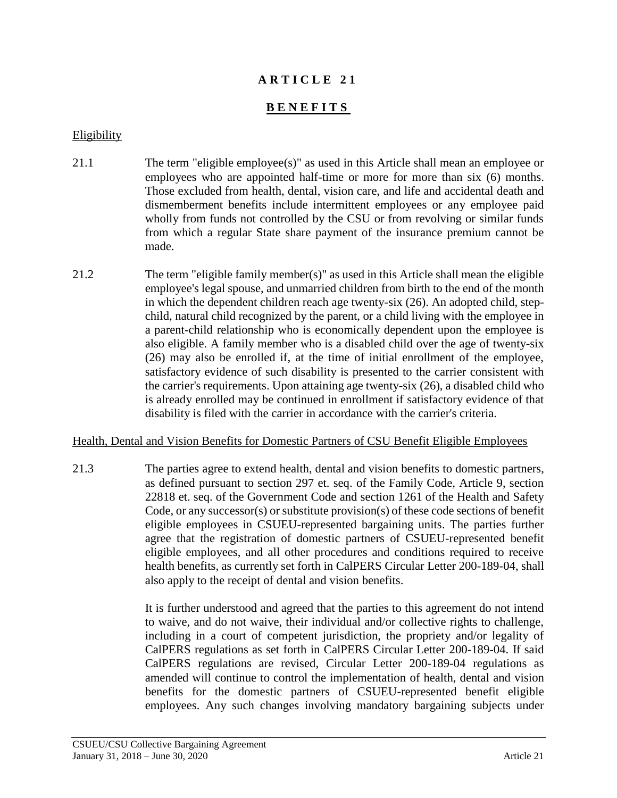# **A R T I C L E 2 1**

# **B E N E F I T S**

#### Eligibility

- 21.1 The term "eligible employee(s)" as used in this Article shall mean an employee or employees who are appointed half-time or more for more than six (6) months. Those excluded from health, dental, vision care, and life and accidental death and dismemberment benefits include intermittent employees or any employee paid wholly from funds not controlled by the CSU or from revolving or similar funds from which a regular State share payment of the insurance premium cannot be made.
- 21.2 The term "eligible family member(s)" as used in this Article shall mean the eligible employee's legal spouse, and unmarried children from birth to the end of the month in which the dependent children reach age twenty-six (26). An adopted child, stepchild, natural child recognized by the parent, or a child living with the employee in a parent-child relationship who is economically dependent upon the employee is also eligible. A family member who is a disabled child over the age of twenty-six (26) may also be enrolled if, at the time of initial enrollment of the employee, satisfactory evidence of such disability is presented to the carrier consistent with the carrier's requirements. Upon attaining age twenty-six (26), a disabled child who is already enrolled may be continued in enrollment if satisfactory evidence of that disability is filed with the carrier in accordance with the carrier's criteria.

#### Health, Dental and Vision Benefits for Domestic Partners of CSU Benefit Eligible Employees

21.3 The parties agree to extend health, dental and vision benefits to domestic partners, as defined pursuant to section 297 et. seq. of the Family Code, Article 9, section 22818 et. seq. of the Government Code and section 1261 of the Health and Safety Code, or any successor(s) or substitute provision(s) of these code sections of benefit eligible employees in CSUEU-represented bargaining units. The parties further agree that the registration of domestic partners of CSUEU-represented benefit eligible employees, and all other procedures and conditions required to receive health benefits, as currently set forth in CalPERS Circular Letter 200-189-04, shall also apply to the receipt of dental and vision benefits.

> It is further understood and agreed that the parties to this agreement do not intend to waive, and do not waive, their individual and/or collective rights to challenge, including in a court of competent jurisdiction, the propriety and/or legality of CalPERS regulations as set forth in CalPERS Circular Letter 200-189-04. If said CalPERS regulations are revised, Circular Letter 200-189-04 regulations as amended will continue to control the implementation of health, dental and vision benefits for the domestic partners of CSUEU-represented benefit eligible employees. Any such changes involving mandatory bargaining subjects under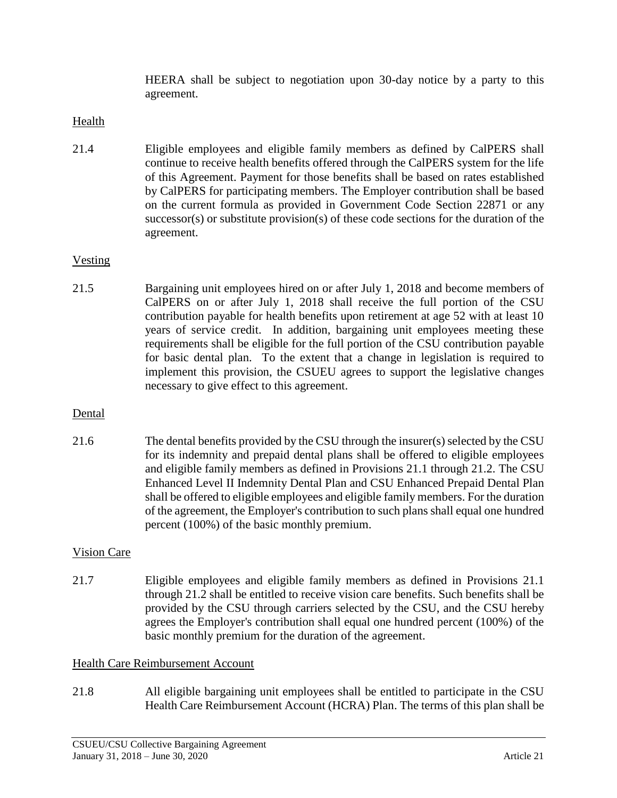HEERA shall be subject to negotiation upon 30-day notice by a party to this agreement.

# Health

21.4 Eligible employees and eligible family members as defined by CalPERS shall continue to receive health benefits offered through the CalPERS system for the life of this Agreement. Payment for those benefits shall be based on rates established by CalPERS for participating members. The Employer contribution shall be based on the current formula as provided in Government Code Section 22871 or any successor(s) or substitute provision(s) of these code sections for the duration of the agreement.

# Vesting

21.5 Bargaining unit employees hired on or after July 1, 2018 and become members of CalPERS on or after July 1, 2018 shall receive the full portion of the CSU contribution payable for health benefits upon retirement at age 52 with at least 10 years of service credit. In addition, bargaining unit employees meeting these requirements shall be eligible for the full portion of the CSU contribution payable for basic dental plan. To the extent that a change in legislation is required to implement this provision, the CSUEU agrees to support the legislative changes necessary to give effect to this agreement.

# Dental

21.6 The dental benefits provided by the CSU through the insurer(s) selected by the CSU for its indemnity and prepaid dental plans shall be offered to eligible employees and eligible family members as defined in Provisions 21.1 through 21.2. The CSU Enhanced Level II Indemnity Dental Plan and CSU Enhanced Prepaid Dental Plan shall be offered to eligible employees and eligible family members. For the duration of the agreement, the Employer's contribution to such plans shall equal one hundred percent (100%) of the basic monthly premium.

# Vision Care

21.7 Eligible employees and eligible family members as defined in Provisions 21.1 through 21.2 shall be entitled to receive vision care benefits. Such benefits shall be provided by the CSU through carriers selected by the CSU, and the CSU hereby agrees the Employer's contribution shall equal one hundred percent (100%) of the basic monthly premium for the duration of the agreement.

# Health Care Reimbursement Account

21.8 All eligible bargaining unit employees shall be entitled to participate in the CSU Health Care Reimbursement Account (HCRA) Plan. The terms of this plan shall be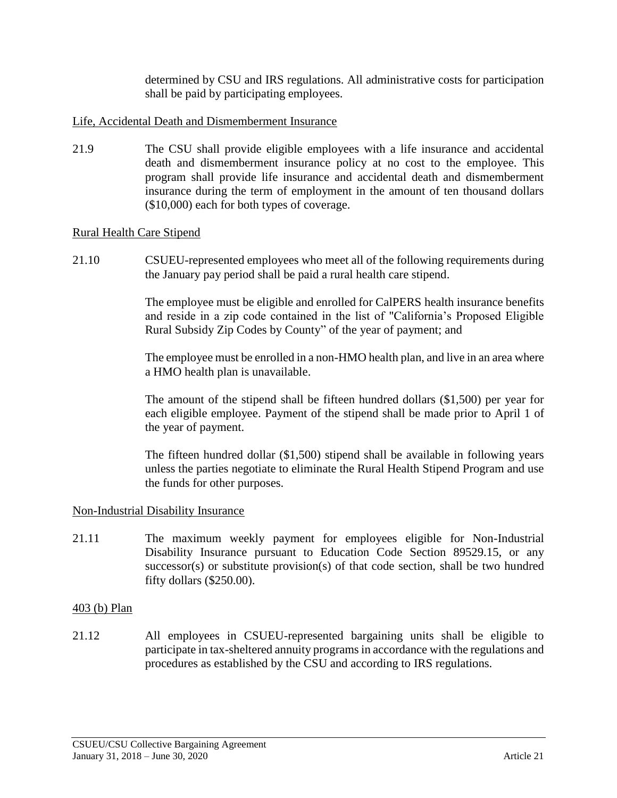determined by CSU and IRS regulations. All administrative costs for participation shall be paid by participating employees.

## Life, Accidental Death and Dismemberment Insurance

21.9 The CSU shall provide eligible employees with a life insurance and accidental death and dismemberment insurance policy at no cost to the employee. This program shall provide life insurance and accidental death and dismemberment insurance during the term of employment in the amount of ten thousand dollars (\$10,000) each for both types of coverage.

## Rural Health Care Stipend

21.10 CSUEU-represented employees who meet all of the following requirements during the January pay period shall be paid a rural health care stipend.

> The employee must be eligible and enrolled for CalPERS health insurance benefits and reside in a zip code contained in the list of "California's Proposed Eligible Rural Subsidy Zip Codes by County" of the year of payment; and

> The employee must be enrolled in a non-HMO health plan, and live in an area where a HMO health plan is unavailable.

> The amount of the stipend shall be fifteen hundred dollars (\$1,500) per year for each eligible employee. Payment of the stipend shall be made prior to April 1 of the year of payment.

> The fifteen hundred dollar (\$1,500) stipend shall be available in following years unless the parties negotiate to eliminate the Rural Health Stipend Program and use the funds for other purposes.

#### Non-Industrial Disability Insurance

21.11 The maximum weekly payment for employees eligible for Non-Industrial Disability Insurance pursuant to Education Code Section 89529.15, or any successor(s) or substitute provision(s) of that code section, shall be two hundred fifty dollars (\$250.00).

#### 403 (b) Plan

21.12 All employees in CSUEU-represented bargaining units shall be eligible to participate in tax-sheltered annuity programs in accordance with the regulations and procedures as established by the CSU and according to IRS regulations.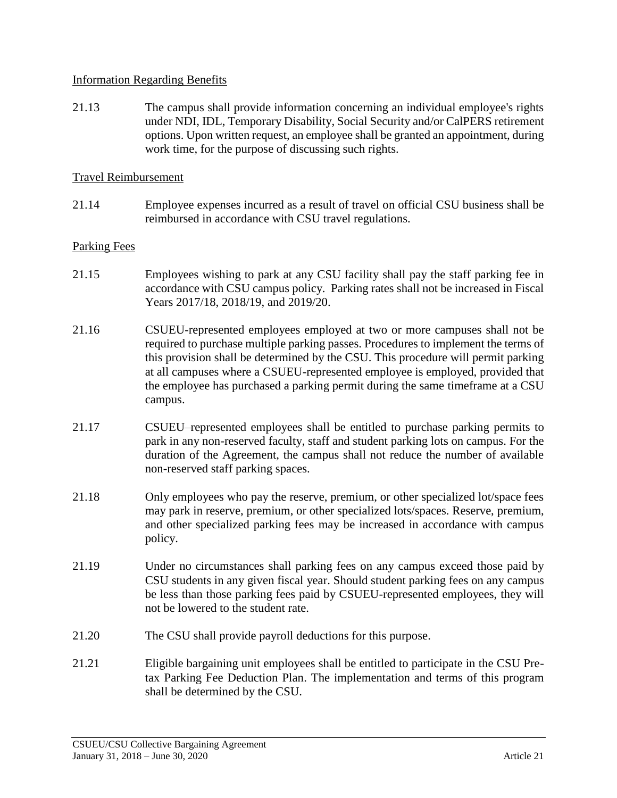## Information Regarding Benefits

21.13 The campus shall provide information concerning an individual employee's rights under NDI, IDL, Temporary Disability, Social Security and/or CalPERS retirement options. Upon written request, an employee shall be granted an appointment, during work time, for the purpose of discussing such rights.

### Travel Reimbursement

21.14 Employee expenses incurred as a result of travel on official CSU business shall be reimbursed in accordance with CSU travel regulations.

## Parking Fees

- 21.15 Employees wishing to park at any CSU facility shall pay the staff parking fee in accordance with CSU campus policy. Parking rates shall not be increased in Fiscal Years 2017/18, 2018/19, and 2019/20.
- 21.16 CSUEU-represented employees employed at two or more campuses shall not be required to purchase multiple parking passes. Procedures to implement the terms of this provision shall be determined by the CSU. This procedure will permit parking at all campuses where a CSUEU-represented employee is employed, provided that the employee has purchased a parking permit during the same timeframe at a CSU campus.
- 21.17 CSUEU–represented employees shall be entitled to purchase parking permits to park in any non-reserved faculty, staff and student parking lots on campus. For the duration of the Agreement, the campus shall not reduce the number of available non-reserved staff parking spaces.
- 21.18 Only employees who pay the reserve, premium, or other specialized lot/space fees may park in reserve, premium, or other specialized lots/spaces. Reserve, premium, and other specialized parking fees may be increased in accordance with campus policy.
- 21.19 Under no circumstances shall parking fees on any campus exceed those paid by CSU students in any given fiscal year. Should student parking fees on any campus be less than those parking fees paid by CSUEU-represented employees, they will not be lowered to the student rate.
- 21.20 The CSU shall provide payroll deductions for this purpose.
- 21.21 Eligible bargaining unit employees shall be entitled to participate in the CSU Pretax Parking Fee Deduction Plan. The implementation and terms of this program shall be determined by the CSU.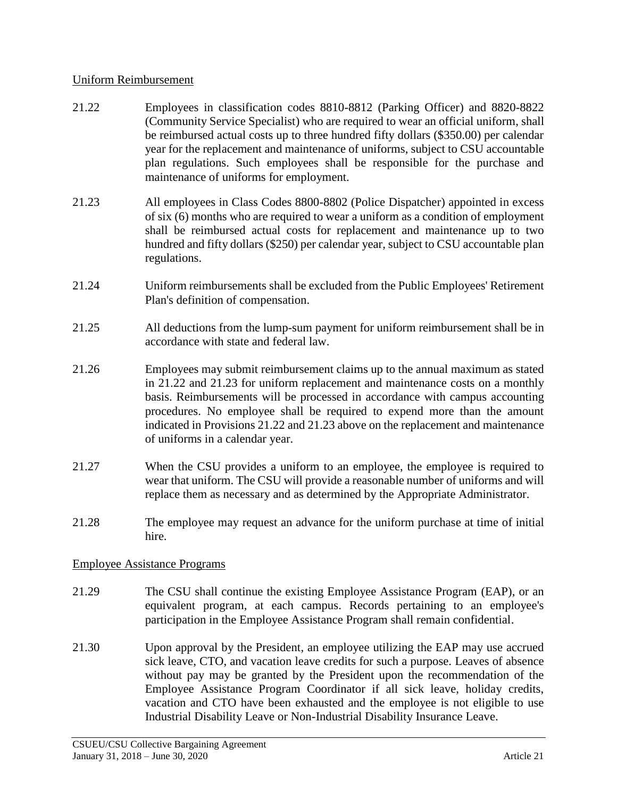## Uniform Reimbursement

- 21.22 Employees in classification codes 8810-8812 (Parking Officer) and 8820-8822 (Community Service Specialist) who are required to wear an official uniform, shall be reimbursed actual costs up to three hundred fifty dollars (\$350.00) per calendar year for the replacement and maintenance of uniforms, subject to CSU accountable plan regulations. Such employees shall be responsible for the purchase and maintenance of uniforms for employment.
- 21.23 All employees in Class Codes 8800-8802 (Police Dispatcher) appointed in excess of six (6) months who are required to wear a uniform as a condition of employment shall be reimbursed actual costs for replacement and maintenance up to two hundred and fifty dollars (\$250) per calendar year, subject to CSU accountable plan regulations.
- 21.24 Uniform reimbursements shall be excluded from the Public Employees' Retirement Plan's definition of compensation.
- 21.25 All deductions from the lump-sum payment for uniform reimbursement shall be in accordance with state and federal law.
- 21.26 Employees may submit reimbursement claims up to the annual maximum as stated in 21.22 and 21.23 for uniform replacement and maintenance costs on a monthly basis. Reimbursements will be processed in accordance with campus accounting procedures. No employee shall be required to expend more than the amount indicated in Provisions 21.22 and 21.23 above on the replacement and maintenance of uniforms in a calendar year.
- 21.27 When the CSU provides a uniform to an employee, the employee is required to wear that uniform. The CSU will provide a reasonable number of uniforms and will replace them as necessary and as determined by the Appropriate Administrator.
- 21.28 The employee may request an advance for the uniform purchase at time of initial hire.

# Employee Assistance Programs

- 21.29 The CSU shall continue the existing Employee Assistance Program (EAP), or an equivalent program, at each campus. Records pertaining to an employee's participation in the Employee Assistance Program shall remain confidential.
- 21.30 Upon approval by the President, an employee utilizing the EAP may use accrued sick leave, CTO, and vacation leave credits for such a purpose. Leaves of absence without pay may be granted by the President upon the recommendation of the Employee Assistance Program Coordinator if all sick leave, holiday credits, vacation and CTO have been exhausted and the employee is not eligible to use Industrial Disability Leave or Non-Industrial Disability Insurance Leave.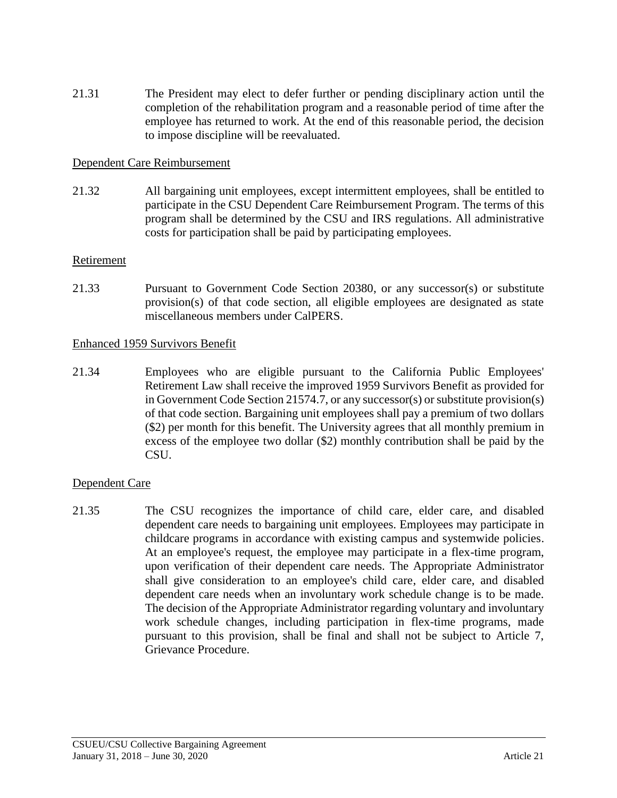21.31 The President may elect to defer further or pending disciplinary action until the completion of the rehabilitation program and a reasonable period of time after the employee has returned to work. At the end of this reasonable period, the decision to impose discipline will be reevaluated.

## Dependent Care Reimbursement

21.32 All bargaining unit employees, except intermittent employees, shall be entitled to participate in the CSU Dependent Care Reimbursement Program. The terms of this program shall be determined by the CSU and IRS regulations. All administrative costs for participation shall be paid by participating employees.

#### Retirement

21.33 Pursuant to Government Code Section 20380, or any successor(s) or substitute provision(s) of that code section, all eligible employees are designated as state miscellaneous members under CalPERS.

#### Enhanced 1959 Survivors Benefit

21.34 Employees who are eligible pursuant to the California Public Employees' Retirement Law shall receive the improved 1959 Survivors Benefit as provided for in Government Code Section 21574.7, or any successor(s) or substitute provision(s) of that code section. Bargaining unit employees shall pay a premium of two dollars (\$2) per month for this benefit. The University agrees that all monthly premium in excess of the employee two dollar (\$2) monthly contribution shall be paid by the CSU.

#### Dependent Care

21.35 The CSU recognizes the importance of child care, elder care, and disabled dependent care needs to bargaining unit employees. Employees may participate in childcare programs in accordance with existing campus and systemwide policies. At an employee's request, the employee may participate in a flex-time program, upon verification of their dependent care needs. The Appropriate Administrator shall give consideration to an employee's child care, elder care, and disabled dependent care needs when an involuntary work schedule change is to be made. The decision of the Appropriate Administrator regarding voluntary and involuntary work schedule changes, including participation in flex-time programs, made pursuant to this provision, shall be final and shall not be subject to Article 7, Grievance Procedure.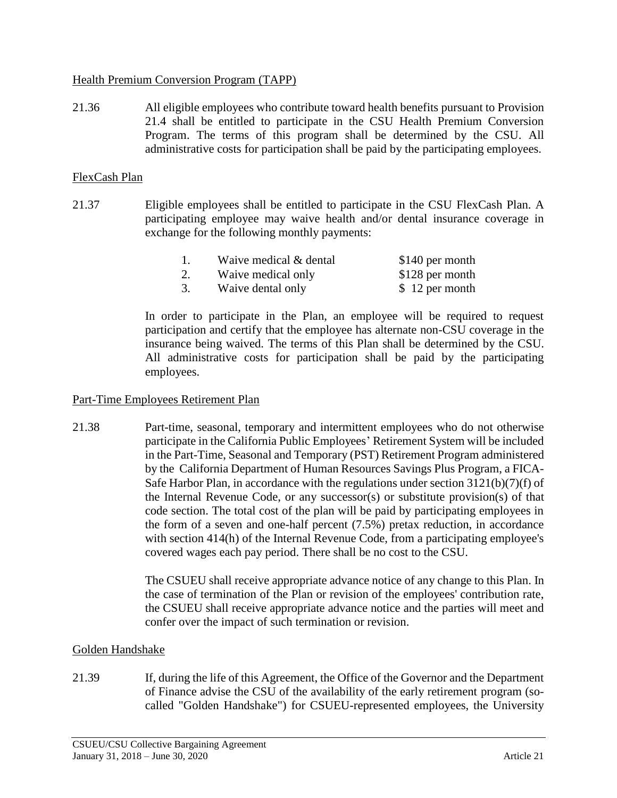## Health Premium Conversion Program (TAPP)

21.36 All eligible employees who contribute toward health benefits pursuant to Provision 21.4 shall be entitled to participate in the CSU Health Premium Conversion Program. The terms of this program shall be determined by the CSU. All administrative costs for participation shall be paid by the participating employees.

## FlexCash Plan

21.37 Eligible employees shall be entitled to participate in the CSU FlexCash Plan. A participating employee may waive health and/or dental insurance coverage in exchange for the following monthly payments:

| Waive medical & dental | \$140 per month |
|------------------------|-----------------|
| Waive medical only     | \$128 per month |
| Waive dental only      | \$12 per month  |

In order to participate in the Plan, an employee will be required to request participation and certify that the employee has alternate non-CSU coverage in the insurance being waived. The terms of this Plan shall be determined by the CSU. All administrative costs for participation shall be paid by the participating employees.

#### Part-Time Employees Retirement Plan

21.38 Part-time, seasonal, temporary and intermittent employees who do not otherwise participate in the California Public Employees' Retirement System will be included in the Part-Time, Seasonal and Temporary (PST) Retirement Program administered by the California Department of Human Resources Savings Plus Program, a FICA-Safe Harbor Plan, in accordance with the regulations under section 3121(b)(7)(f) of the Internal Revenue Code, or any successor(s) or substitute provision(s) of that code section. The total cost of the plan will be paid by participating employees in the form of a seven and one-half percent (7.5%) pretax reduction, in accordance with section 414(h) of the Internal Revenue Code, from a participating employee's covered wages each pay period. There shall be no cost to the CSU.

> The CSUEU shall receive appropriate advance notice of any change to this Plan. In the case of termination of the Plan or revision of the employees' contribution rate, the CSUEU shall receive appropriate advance notice and the parties will meet and confer over the impact of such termination or revision.

# Golden Handshake

21.39 If, during the life of this Agreement, the Office of the Governor and the Department of Finance advise the CSU of the availability of the early retirement program (socalled "Golden Handshake") for CSUEU-represented employees, the University